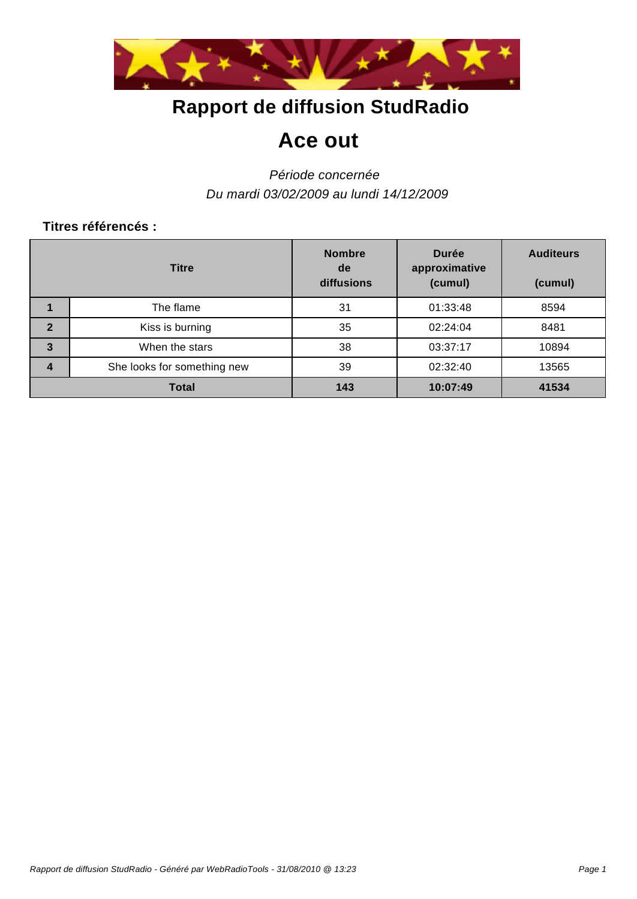

# **Rapport de diffusion StudRadio**

## **Ace out**

### *Période concernée Du mardi 03/02/2009 au lundi 14/12/2009*

#### **Titres référencés :**

|                | <b>Titre</b>                | <b>Nombre</b><br>de<br>diffusions | <b>Durée</b><br>approximative<br>(cumul) | <b>Auditeurs</b><br>(cumul) |
|----------------|-----------------------------|-----------------------------------|------------------------------------------|-----------------------------|
|                | The flame                   | 31                                | 01:33:48                                 | 8594                        |
| $\overline{2}$ | Kiss is burning             | 35                                | 02:24:04                                 | 8481                        |
| $\mathbf{3}$   | When the stars              | 38                                | 03:37:17                                 | 10894                       |
| 4              | She looks for something new | 39                                | 02:32:40                                 | 13565                       |
|                | Total                       | 143                               | 10:07:49                                 | 41534                       |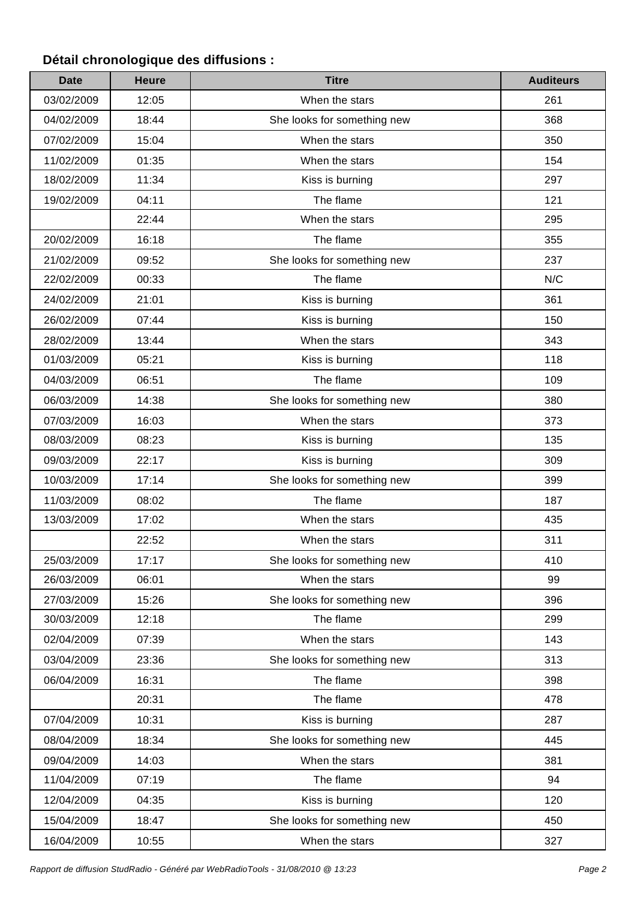### **Détail chronologique des diffusions :**

| <b>Date</b> | <b>Heure</b> | <b>Titre</b>                | <b>Auditeurs</b> |
|-------------|--------------|-----------------------------|------------------|
| 03/02/2009  | 12:05        | When the stars              | 261              |
| 04/02/2009  | 18:44        | She looks for something new | 368              |
| 07/02/2009  | 15:04        | When the stars              | 350              |
| 11/02/2009  | 01:35        | When the stars              | 154              |
| 18/02/2009  | 11:34        | Kiss is burning             | 297              |
| 19/02/2009  | 04:11        | The flame                   | 121              |
|             | 22:44        | When the stars              | 295              |
| 20/02/2009  | 16:18        | The flame                   | 355              |
| 21/02/2009  | 09:52        | She looks for something new | 237              |
| 22/02/2009  | 00:33        | The flame                   | N/C              |
| 24/02/2009  | 21:01        | Kiss is burning             | 361              |
| 26/02/2009  | 07:44        | Kiss is burning             | 150              |
| 28/02/2009  | 13:44        | When the stars              | 343              |
| 01/03/2009  | 05:21        | Kiss is burning             | 118              |
| 04/03/2009  | 06:51        | The flame                   | 109              |
| 06/03/2009  | 14:38        | She looks for something new | 380              |
| 07/03/2009  | 16:03        | When the stars              | 373              |
| 08/03/2009  | 08:23        | Kiss is burning             | 135              |
| 09/03/2009  | 22:17        | Kiss is burning             | 309              |
| 10/03/2009  | 17:14        | She looks for something new | 399              |
| 11/03/2009  | 08:02        | The flame                   | 187              |
| 13/03/2009  | 17:02        | When the stars              | 435              |
|             | 22:52        | When the stars              | 311              |
| 25/03/2009  | 17:17        | She looks for something new | 410              |
| 26/03/2009  | 06:01        | When the stars              | 99               |
| 27/03/2009  | 15:26        | She looks for something new | 396              |
| 30/03/2009  | 12:18        | The flame                   | 299              |
| 02/04/2009  | 07:39        | When the stars              | 143              |
| 03/04/2009  | 23:36        | She looks for something new | 313              |
| 06/04/2009  | 16:31        | The flame                   | 398              |
|             | 20:31        | The flame                   | 478              |
| 07/04/2009  | 10:31        | Kiss is burning             | 287              |
| 08/04/2009  | 18:34        | She looks for something new | 445              |
| 09/04/2009  | 14:03        | When the stars              | 381              |
| 11/04/2009  | 07:19        | The flame                   | 94               |
| 12/04/2009  | 04:35        | Kiss is burning             | 120              |
| 15/04/2009  | 18:47        | She looks for something new | 450              |
| 16/04/2009  | 10:55        | When the stars              | 327              |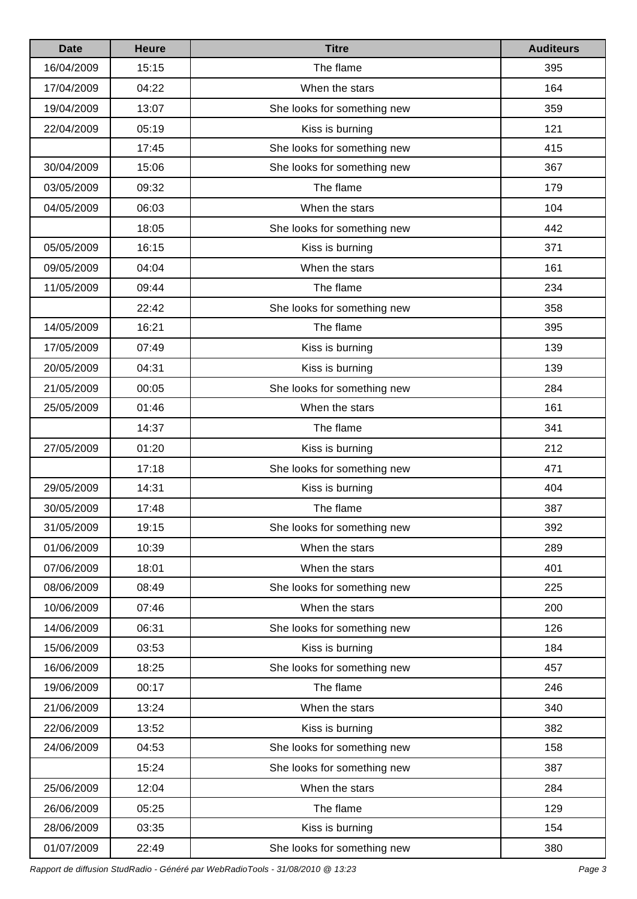| <b>Date</b> | <b>Heure</b> | <b>Titre</b>                | <b>Auditeurs</b> |
|-------------|--------------|-----------------------------|------------------|
| 16/04/2009  | 15:15        | The flame                   | 395              |
| 17/04/2009  | 04:22        | When the stars              | 164              |
| 19/04/2009  | 13:07        | She looks for something new | 359              |
| 22/04/2009  | 05:19        | Kiss is burning             | 121              |
|             | 17:45        | She looks for something new | 415              |
| 30/04/2009  | 15:06        | She looks for something new | 367              |
| 03/05/2009  | 09:32        | The flame                   | 179              |
| 04/05/2009  | 06:03        | When the stars              | 104              |
|             | 18:05        | She looks for something new | 442              |
| 05/05/2009  | 16:15        | Kiss is burning             | 371              |
| 09/05/2009  | 04:04        | When the stars              | 161              |
| 11/05/2009  | 09:44        | The flame                   | 234              |
|             | 22:42        | She looks for something new | 358              |
| 14/05/2009  | 16:21        | The flame                   | 395              |
| 17/05/2009  | 07:49        | Kiss is burning             | 139              |
| 20/05/2009  | 04:31        | Kiss is burning             | 139              |
| 21/05/2009  | 00:05        | She looks for something new | 284              |
| 25/05/2009  | 01:46        | When the stars              | 161              |
|             | 14:37        | The flame                   | 341              |
| 27/05/2009  | 01:20        | Kiss is burning             | 212              |
|             | 17:18        | She looks for something new | 471              |
| 29/05/2009  | 14:31        | Kiss is burning             | 404              |
| 30/05/2009  | 17:48        | The flame                   | 387              |
| 31/05/2009  | 19:15        | She looks for something new | 392              |
| 01/06/2009  | 10:39        | When the stars              | 289              |
| 07/06/2009  | 18:01        | When the stars              | 401              |
| 08/06/2009  | 08:49        | She looks for something new | 225              |
| 10/06/2009  | 07:46        | When the stars              | 200              |
| 14/06/2009  | 06:31        | She looks for something new | 126              |
| 15/06/2009  | 03:53        | Kiss is burning             | 184              |
| 16/06/2009  | 18:25        | She looks for something new | 457              |
| 19/06/2009  | 00:17        | The flame                   | 246              |
| 21/06/2009  | 13:24        | When the stars              | 340              |
| 22/06/2009  | 13:52        | Kiss is burning             | 382              |
| 24/06/2009  | 04:53        | She looks for something new | 158              |
|             | 15:24        | She looks for something new | 387              |
| 25/06/2009  | 12:04        | When the stars              | 284              |
| 26/06/2009  | 05:25        | The flame                   | 129              |
| 28/06/2009  | 03:35        | Kiss is burning             | 154              |
| 01/07/2009  | 22:49        | She looks for something new | 380              |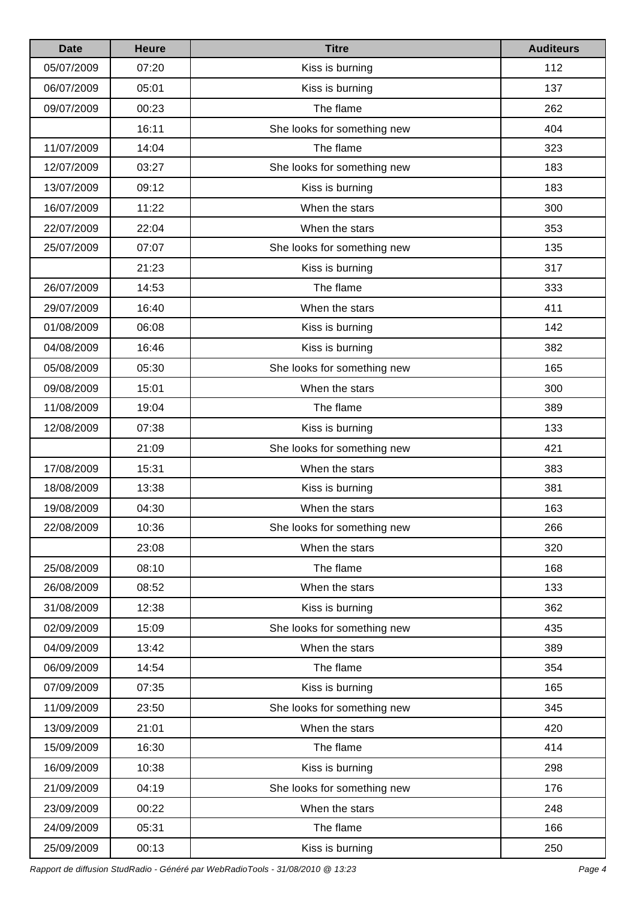| <b>Date</b> | <b>Heure</b> | <b>Titre</b>                | <b>Auditeurs</b> |
|-------------|--------------|-----------------------------|------------------|
| 05/07/2009  | 07:20        | Kiss is burning             | 112              |
| 06/07/2009  | 05:01        | Kiss is burning             | 137              |
| 09/07/2009  | 00:23        | The flame                   | 262              |
|             | 16:11        | She looks for something new | 404              |
| 11/07/2009  | 14:04        | The flame                   | 323              |
| 12/07/2009  | 03:27        | She looks for something new | 183              |
| 13/07/2009  | 09:12        | Kiss is burning             | 183              |
| 16/07/2009  | 11:22        | When the stars              | 300              |
| 22/07/2009  | 22:04        | When the stars              | 353              |
| 25/07/2009  | 07:07        | She looks for something new | 135              |
|             | 21:23        | Kiss is burning             | 317              |
| 26/07/2009  | 14:53        | The flame                   | 333              |
| 29/07/2009  | 16:40        | When the stars              | 411              |
| 01/08/2009  | 06:08        | Kiss is burning             | 142              |
| 04/08/2009  | 16:46        | Kiss is burning             | 382              |
| 05/08/2009  | 05:30        | She looks for something new | 165              |
| 09/08/2009  | 15:01        | When the stars              | 300              |
| 11/08/2009  | 19:04        | The flame                   | 389              |
| 12/08/2009  | 07:38        | Kiss is burning             | 133              |
|             | 21:09        | She looks for something new | 421              |
| 17/08/2009  | 15:31        | When the stars              | 383              |
| 18/08/2009  | 13:38        | Kiss is burning             | 381              |
| 19/08/2009  | 04:30        | When the stars              | 163              |
| 22/08/2009  | 10:36        | She looks for something new | 266              |
|             | 23:08        | When the stars              | 320              |
| 25/08/2009  | 08:10        | The flame                   | 168              |
| 26/08/2009  | 08:52        | When the stars              | 133              |
| 31/08/2009  | 12:38        | Kiss is burning             | 362              |
| 02/09/2009  | 15:09        | She looks for something new | 435              |
| 04/09/2009  | 13:42        | When the stars              | 389              |
| 06/09/2009  | 14:54        | The flame                   | 354              |
| 07/09/2009  | 07:35        | Kiss is burning             | 165              |
| 11/09/2009  | 23:50        | She looks for something new | 345              |
| 13/09/2009  | 21:01        | When the stars              | 420              |
| 15/09/2009  | 16:30        | The flame                   | 414              |
| 16/09/2009  | 10:38        | Kiss is burning             | 298              |
| 21/09/2009  | 04:19        | She looks for something new | 176              |
| 23/09/2009  | 00:22        | When the stars              | 248              |
| 24/09/2009  | 05:31        | The flame                   | 166              |
| 25/09/2009  | 00:13        | Kiss is burning             | 250              |